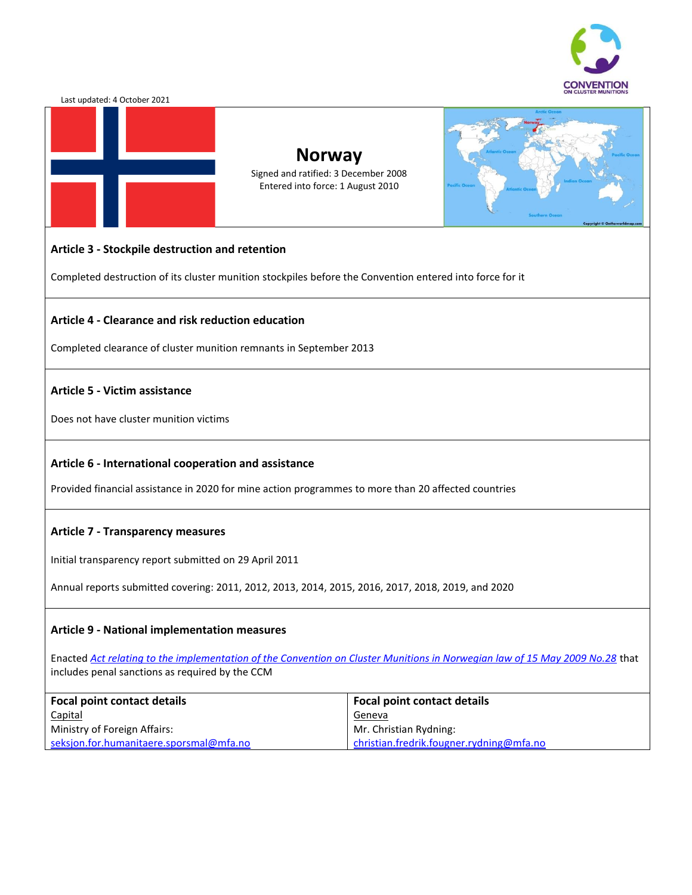

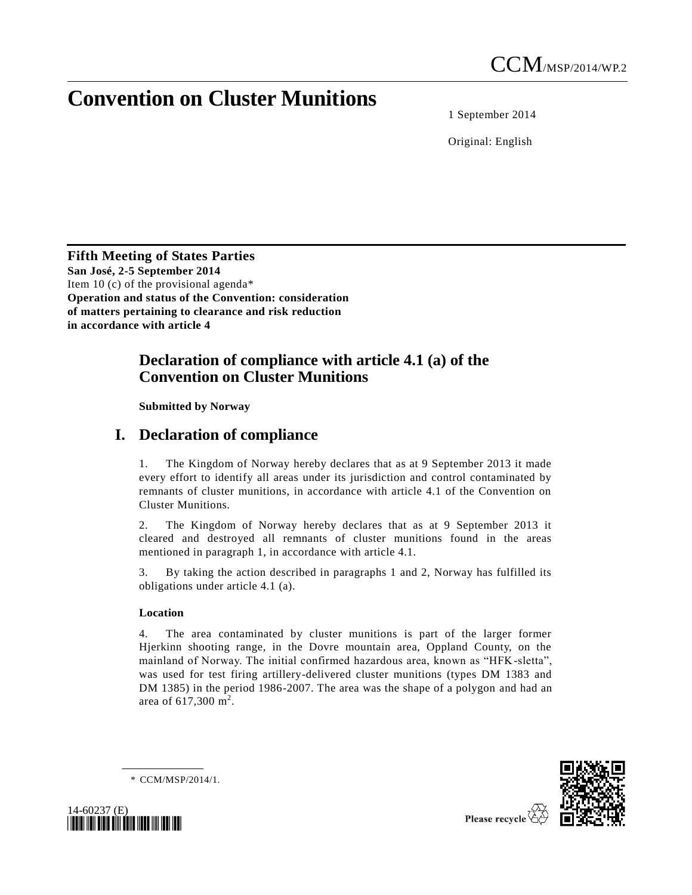# **Convention on Cluster Munitions**

1 September 2014

Original: English

**Fifth Meeting of States Parties San José, 2-5 September 2014** Item 10 (c) of the provisional agenda\* **Operation and status of the Convention: consideration of matters pertaining to clearance and risk reduction in accordance with article 4**

### **Declaration of compliance with article 4.1 (a) of the Convention on Cluster Munitions**

**Submitted by Norway**

## **I. Declaration of compliance**

1. The Kingdom of Norway hereby declares that as at 9 September 2013 it made every effort to identify all areas under its jurisdiction and control contaminated by remnants of cluster munitions, in accordance with article 4.1 of the Convention on Cluster Munitions.

2. The Kingdom of Norway hereby declares that as at 9 September 2013 it cleared and destroyed all remnants of cluster munitions found in the areas mentioned in paragraph 1, in accordance with article 4.1.

3. By taking the action described in paragraphs 1 and 2, Norway has fulfilled its obligations under article 4.1 (a).

### **Location**

4. The area contaminated by cluster munitions is part of the larger former Hjerkinn shooting range, in the Dovre mountain area, Oppland County, on the mainland of Norway. The initial confirmed hazardous area, known as "HFK-sletta", was used for test firing artillery-delivered cluster munitions (types DM 1383 and DM 1385) in the period 1986-2007. The area was the shape of a polygon and had an area of 617,300 m<sup>2</sup>.

\* CCM/MSP/2014/1.





Please recycle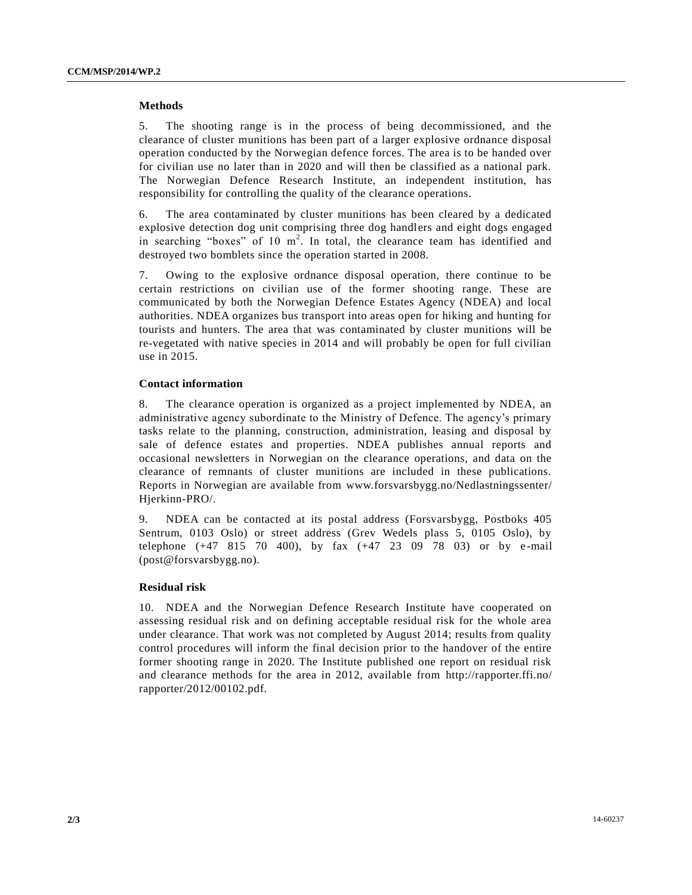#### **Methods**

5. The shooting range is in the process of being decommissioned, and the clearance of cluster munitions has been part of a larger explosive ordnance disposal operation conducted by the Norwegian defence forces. The area is to be handed over for civilian use no later than in 2020 and will then be classified as a national park. The Norwegian Defence Research Institute, an independent institution, has responsibility for controlling the quality of the clearance operations.

6. The area contaminated by cluster munitions has been cleared by a dedicated explosive detection dog unit comprising three dog handlers and eight dogs engaged in searching "boxes" of  $10 \text{ m}^2$ . In total, the clearance team has identified and destroyed two bomblets since the operation started in 2008.

7. Owing to the explosive ordnance disposal operation, there continue to be certain restrictions on civilian use of the former shooting range. These are communicated by both the Norwegian Defence Estates Agency (NDEA) and local authorities. NDEA organizes bus transport into areas open for hiking and hunting for tourists and hunters. The area that was contaminated by cluster munitions will be re-vegetated with native species in 2014 and will probably be open for full civilian use in 2015.

#### **Contact information**

8. The clearance operation is organized as a project implemented by NDEA, an administrative agency subordinate to the Ministry of Defence. The agency's primary tasks relate to the planning, construction, administration, leasing and disposal by sale of defence estates and properties. NDEA publishes annual reports and occasional newsletters in Norwegian on the clearance operations, and data on the clearance of remnants of cluster munitions are included in these publications. Reports in Norwegian are available from www.forsvarsbygg.no/Nedlastningssenter/ Hjerkinn-PRO/.

9. NDEA can be contacted at its postal address (Forsvarsbygg, Postboks 405 Sentrum, 0103 Oslo) or street address (Grev Wedels plass 5, 0105 Oslo), by telephone (+47 815 70 400), by fax (+47 23 09 78 03) or by e -mail (post@forsvarsbygg.no).

#### **Residual risk**

10. NDEA and the Norwegian Defence Research Institute have cooperated on assessing residual risk and on defining acceptable residual risk for the whole area under clearance. That work was not completed by August 2014; results from quality control procedures will inform the final decision prior to the handover of the entire former shooting range in 2020. The Institute published one report on residual risk and clearance methods for the area in 2012, available from http://rapporter.ffi.no/ rapporter/2012/00102.pdf.